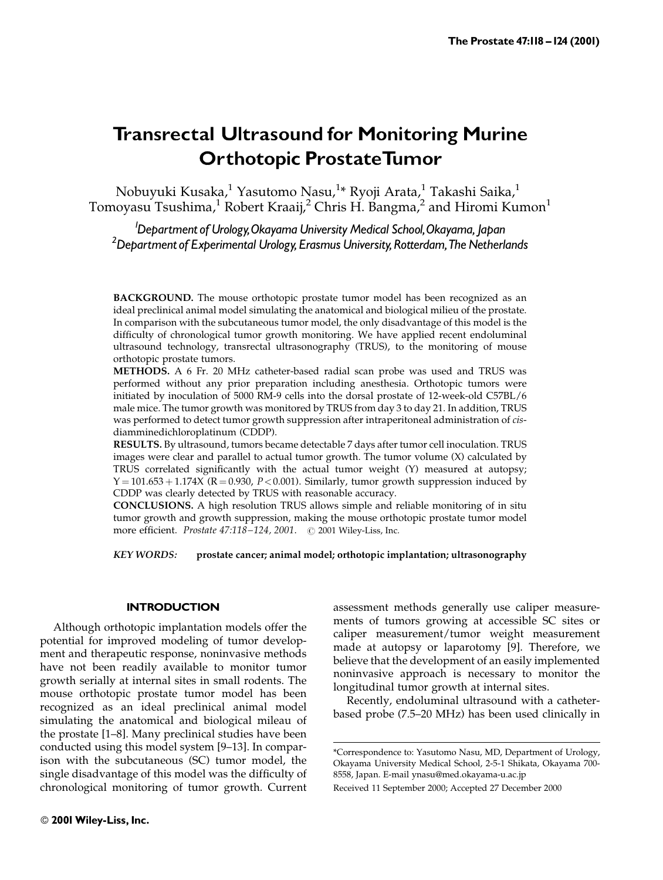## Transrectal Ultrasound for Monitoring Murine Orthotopic ProstateTumor

Nobuyuki Kusaka,<sup>1</sup> Yasutomo Nasu,<sup>1</sup>\* Ryoji Arata,<sup>1</sup> Takashi Saika,<sup>1</sup> Tomoyasu Tsushima,<sup>1</sup> Robert Kraaij,<sup>2</sup> Chris H. Bangma,<sup>2</sup> and Hiromi Kumon<sup>1</sup>

1 Department of Urology,Okayama University Medical School,Okayama, Japan <sup>2</sup> Department of Experimental Urology, Erasmus University, Rotterdam, The Netherlands

BACKGROUND. The mouse orthotopic prostate tumor model has been recognized as an ideal preclinical animal model simulating the anatomical and biological milieu of the prostate. In comparison with the subcutaneous tumor model, the only disadvantage of this model is the difficulty of chronological tumor growth monitoring. We have applied recent endoluminal ultrasound technology, transrectal ultrasonography (TRUS), to the monitoring of mouse orthotopic prostate tumors.

METHODS. A 6 Fr. 20 MHz catheter-based radial scan probe was used and TRUS was performed without any prior preparation including anesthesia. Orthotopic tumors were initiated by inoculation of 5000 RM-9 cells into the dorsal prostate of 12-week-old C57BL/6 male mice. The tumor growth was monitored by TRUS from day 3 to day 21. In addition, TRUS was performed to detect tumor growth suppression after intraperitoneal administration of cisdiamminedichloroplatinum (CDDP).

RESULTS. By ultrasound, tumors became detectable 7 days after tumor cell inoculation. TRUS images were clear and parallel to actual tumor growth. The tumor volume (X) calculated by TRUS correlated significantly with the actual tumor weight  $(Y)$  measured at autopsy;  $Y = 101.653 + 1.174X$  (R = 0.930, P < 0.001). Similarly, tumor growth suppression induced by CDDP was clearly detected by TRUS with reasonable accuracy.

CONCLUSIONS. A high resolution TRUS allows simple and reliable monitoring of in situ tumor growth and growth suppression, making the mouse orthotopic prostate tumor model more efficient. *Prostate*  $47:118-124$ ,  $2001$ .  $\odot$  2001 Wiley-Liss, Inc.

KEY WORDS: prostate cancer; animal model; orthotopic implantation; ultrasonography

#### **INTRODUCTION**

Although orthotopic implantation models offer the potential for improved modeling of tumor development and therapeutic response, noninvasive methods have not been readily available to monitor tumor growth serially at internal sites in small rodents. The mouse orthotopic prostate tumor model has been recognized as an ideal preclinical animal model simulating the anatomical and biological mileau of the prostate [1–8]. Many preclinical studies have been conducted using this model system [9-13]. In comparison with the subcutaneous (SC) tumor model, the single disadvantage of this model was the difficulty of chronological monitoring of tumor growth. Current assessment methods generally use caliper measurements of tumors growing at accessible SC sites or caliper measurement/tumor weight measurement made at autopsy or laparotomy [9]. Therefore, we believe that the development of an easily implemented noninvasive approach is necessary to monitor the longitudinal tumor growth at internal sites.

Recently, endoluminal ultrasound with a catheterbased probe (7.5-20 MHz) has been used clinically in

<sup>\*</sup>Correspondence to: Yasutomo Nasu, MD, Department of Urology, Okayama University Medical School, 2-5-1 Shikata, Okayama 700- 8558, Japan. E-mail ynasu@med.okayama-u.ac.jp

Received 11 September 2000; Accepted 27 December 2000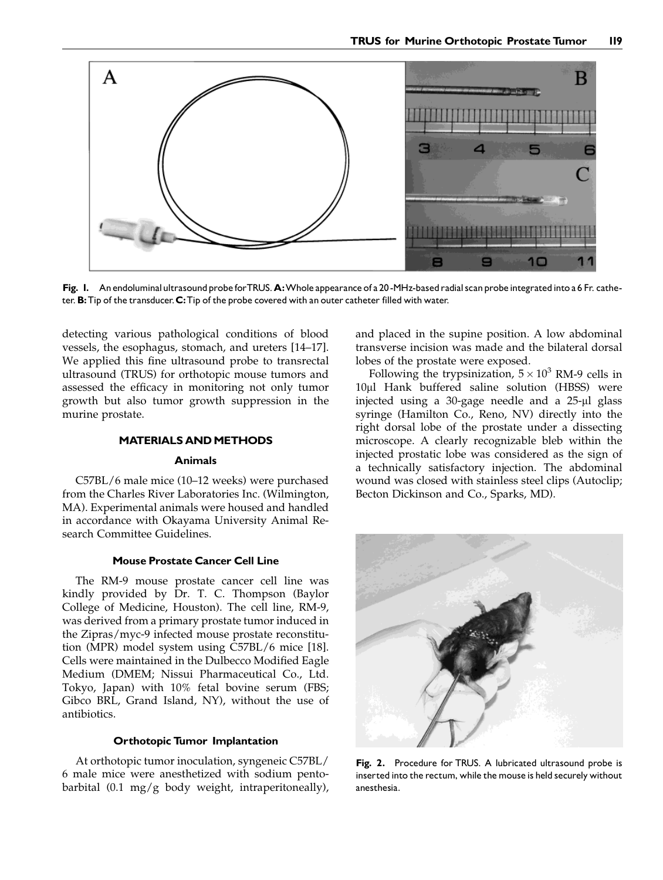

Fig. I. An endoluminal ultrasound probe for TRUS. A: Whole appearance of a 20-MHz-based radial scan probe integrated into a 6 Fr. catheter. **B**: Tip of the transducer. **C**: Tip of the probe covered with an outer catheter filled with water.

detecting various pathological conditions of blood vessels, the esophagus, stomach, and ureters [14-17]. We applied this fine ultrasound probe to transrectal ultrasound (TRUS) for orthotopic mouse tumors and assessed the efficacy in monitoring not only tumor growth but also tumor growth suppression in the murine prostate.

#### **MATERIALS AND METHODS**

#### Animals

C57BL/6 male mice (10-12 weeks) were purchased from the Charles River Laboratories Inc. (Wilmington, MA). Experimental animals were housed and handled in accordance with Okayama University Animal Research Committee Guidelines.

#### Mouse Prostate Cancer Cell Line

The RM-9 mouse prostate cancer cell line was kindly provided by Dr. T. C. Thompson (Baylor College of Medicine, Houston). The cell line, RM-9, was derived from a primary prostate tumor induced in the Zipras/myc-9 infected mouse prostate reconstitution (MPR) model system using C57BL/6 mice [18]. Cells were maintained in the Dulbecco Modified Eagle Medium (DMEM; Nissui Pharmaceutical Co., Ltd. Tokyo, Japan) with 10% fetal bovine serum (FBS; Gibco BRL, Grand Island, NY), without the use of antibiotics.

#### Orthotopic Tumor Implantation

At orthotopic tumor inoculation, syngeneic C57BL/ 6 male mice were anesthetized with sodium pentobarbital (0.1 mg/g body weight, intraperitoneally), and placed in the supine position. A low abdominal transverse incision was made and the bilateral dorsal lobes of the prostate were exposed.

Following the trypsinization,  $5 \times 10^3$  RM-9 cells in 10µl Hank buffered saline solution (HBSS) were injected using a 30-gage needle and a 25-µl glass syringe (Hamilton Co., Reno, NV) directly into the right dorsal lobe of the prostate under a dissecting microscope. A clearly recognizable bleb within the injected prostatic lobe was considered as the sign of a technically satisfactory injection. The abdominal wound was closed with stainless steel clips (Autoclip; Becton Dickinson and Co., Sparks, MD).



Fig. 2. Procedure for TRUS. A lubricated ultrasound probe is inserted into the rectum, while the mouse is held securely without anesthesia.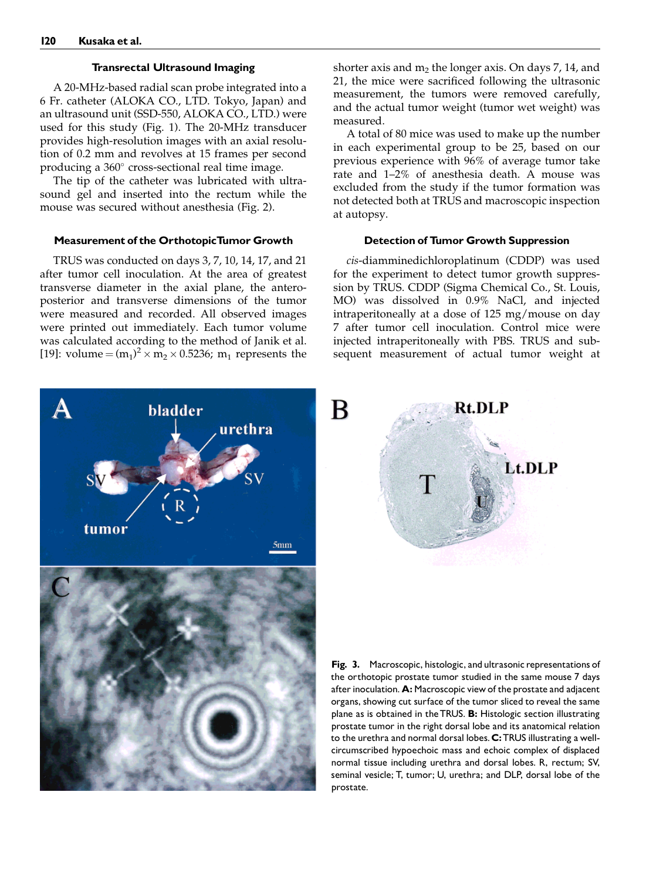#### Transrectal Ultrasound Imaging

A 20-MHz-based radial scan probe integrated into a 6 Fr. catheter (ALOKA CO., LTD. Tokyo, Japan) and an ultrasound unit (SSD-550, ALOKA CO., LTD.) were used for this study (Fig. 1). The 20-MHz transducer provides high-resolution images with an axial resolution of 0.2 mm and revolves at 15 frames per second producing a  $360^\circ$  cross-sectional real time image.

The tip of the catheter was lubricated with ultrasound gel and inserted into the rectum while the mouse was secured without anesthesia (Fig. 2).

#### Measurement of the OrthotopicTumor Growth

TRUS was conducted on days 3, 7, 10, 14, 17, and 21 after tumor cell inoculation. At the area of greatest transverse diameter in the axial plane, the anteroposterior and transverse dimensions of the tumor were measured and recorded. All observed images were printed out immediately. Each tumor volume was calculated according to the method of Janik et al. [19]: volume =  $(m_1)^2 \times m_2 \times 0.5236$ ; m<sub>1</sub> represents the



shorter axis and  $m_2$  the longer axis. On days 7, 14, and 21, the mice were sacrificed following the ultrasonic measurement, the tumors were removed carefully, and the actual tumor weight (tumor wet weight) was measured.

A total of 80 mice was used to make up the number in each experimental group to be 25, based on our previous experience with 96% of average tumor take rate and 1-2% of anesthesia death. A mouse was excluded from the study if the tumor formation was not detected both at TRUS and macroscopic inspection at autopsy.

#### Detection of Tumor Growth Suppression

cis-diamminedichloroplatinum (CDDP) was used for the experiment to detect tumor growth suppression by TRUS. CDDP (Sigma Chemical Co., St. Louis, MO) was dissolved in 0.9% NaCl, and injected intraperitoneally at a dose of 125 mg/mouse on day 7 after tumor cell inoculation. Control mice were injected intraperitoneally with PBS. TRUS and subsequent measurement of actual tumor weight at



Fig. 3. Macroscopic, histologic, and ultrasonic representations of the orthotopic prostate tumor studied in the same mouse 7 days after inoculation. A: Macroscopic view of the prostate and adjacent organs, showing cut surface of the tumor sliced to reveal the same plane as is obtained in the TRUS. B: Histologic section illustrating prostate tumor in the right dorsal lobe and its anatomical relation to the urethra and normal dorsal lobes. C: TRUS illustrating a wellcircumscribed hypoechoic mass and echoic complex of displaced normal tissue including urethra and dorsal lobes. R, rectum; SV, seminal vesicle; T, tumor; U, urethra; and DLP, dorsal lobe of the prostate.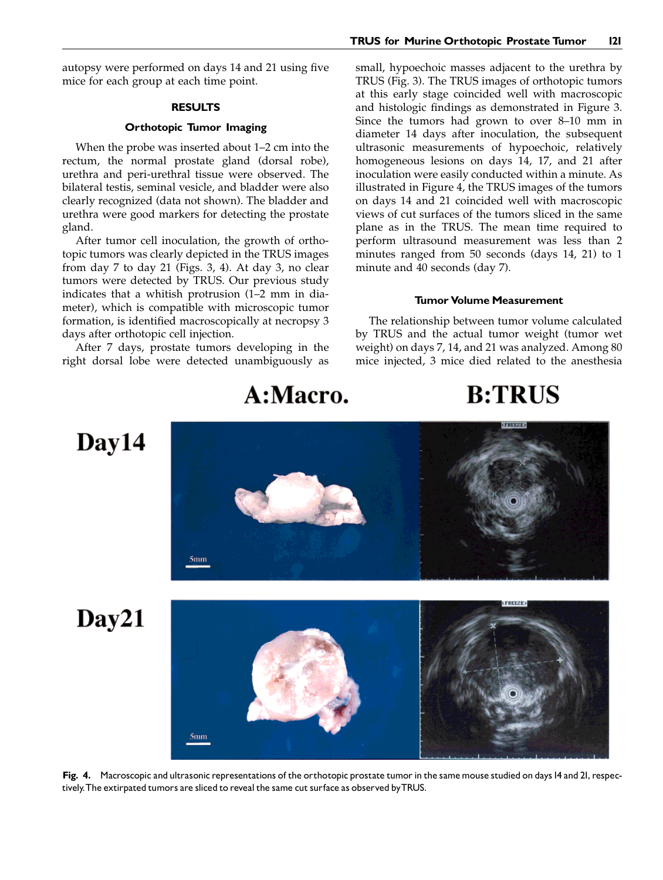autopsy were performed on days 14 and 21 using five mice for each group at each time point.

#### RESULTS

#### Orthotopic Tumor Imaging

When the probe was inserted about  $1-2$  cm into the rectum, the normal prostate gland (dorsal robe), urethra and peri-urethral tissue were observed. The bilateral testis, seminal vesicle, and bladder were also clearly recognized (data not shown). The bladder and urethra were good markers for detecting the prostate gland.

After tumor cell inoculation, the growth of orthotopic tumors was clearly depicted in the TRUS images from day 7 to day 21 (Figs. 3, 4). At day 3, no clear tumors were detected by TRUS. Our previous study indicates that a whitish protrusion  $(1-2)$  mm in diameter), which is compatible with microscopic tumor formation, is identified macroscopically at necropsy 3 days after orthotopic cell injection.

After 7 days, prostate tumors developing in the right dorsal lobe were detected unambiguously as

 $5mm$ 

small, hypoechoic masses adjacent to the urethra by TRUS (Fig. 3). The TRUS images of orthotopic tumors at this early stage coincided well with macroscopic and histologic findings as demonstrated in Figure 3. Since the tumors had grown to over  $8-10$  mm in diameter 14 days after inoculation, the subsequent ultrasonic measurements of hypoechoic, relatively homogeneous lesions on days 14, 17, and 21 after inoculation were easily conducted within a minute. As illustrated in Figure 4, the TRUS images of the tumors on days 14 and 21 coincided well with macroscopic views of cut surfaces of the tumors sliced in the same plane as in the TRUS. The mean time required to perform ultrasound measurement was less than 2 minutes ranged from 50 seconds (days 14, 21) to 1 minute and 40 seconds (day 7).

#### Tumor Volume Measurement

The relationship between tumor volume calculated by TRUS and the actual tumor weight (tumor wet weight) on days 7, 14, and 21 was analyzed. Among 80 mice injected, 3 mice died related to the anesthesia

## A:Macro.

# **B:TRUS**

# $Day14$

Day21



Fig. 4. Macroscopic and ultrasonic representations of the orthotopic prostate tumor in the same mouse studied on days I4 and 2I, respectively.The extirpated tumors are sliced to reveal the same cut surface as observed byTRUS.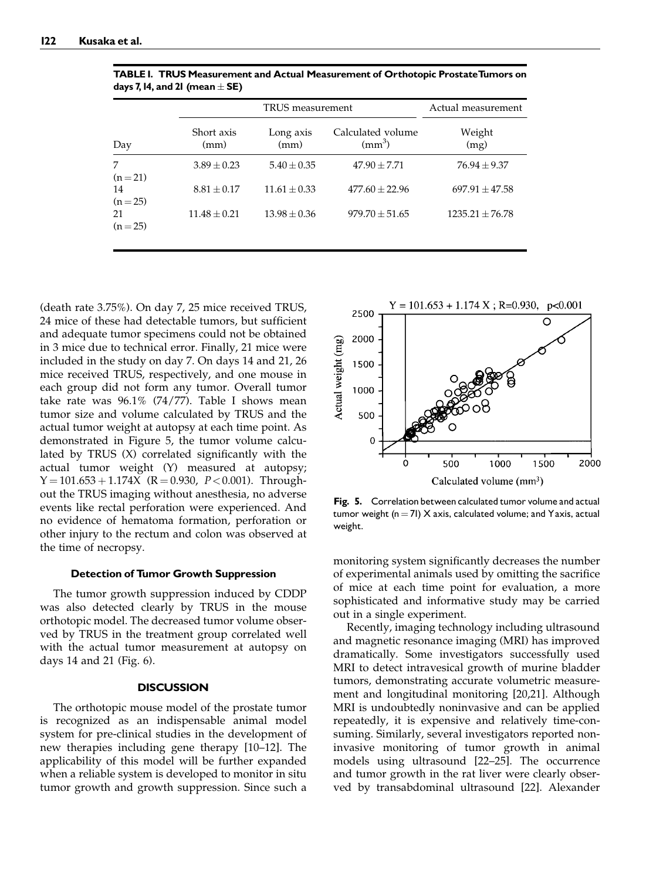|                | TRUS measurement   |                   |                                   | Actual measurement  |
|----------------|--------------------|-------------------|-----------------------------------|---------------------|
| Day            | Short axis<br>(mm) | Long axis<br>(mm) | Calculated volume<br>$\rm (mm^3)$ | Weight<br>(mg)      |
| 7<br>$(n=21)$  | $3.89 \pm 0.23$    | $5.40 \pm 0.35$   | $47.90 \pm 7.71$                  | $76.94 \pm 9.37$    |
| 14<br>$(n=25)$ | $8.81 \pm 0.17$    | $11.61 \pm 0.33$  | $477.60 \pm 22.96$                | $697.91 \pm 47.58$  |
| 21<br>$(n=25)$ | $11.48 \pm 0.21$   | $13.98 \pm 0.36$  | $979.70 \pm 51.65$                | $1235.21 \pm 76.78$ |

TABLE I. TRUS Measurement and Actual Measurement of Orthotopic ProstateTumors on days 7, 14, and 21 (mean  $\pm$  SE)

(death rate 3.75%). On day 7, 25 mice received TRUS, 24 mice of these had detectable tumors, but sufficient and adequate tumor specimens could not be obtained in 3 mice due to technical error. Finally, 21 mice were included in the study on day 7. On days 14 and 21, 26 mice received TRUS, respectively, and one mouse in each group did not form any tumor. Overall tumor take rate was 96.1% (74/77). Table I shows mean tumor size and volume calculated by TRUS and the actual tumor weight at autopsy at each time point. As demonstrated in Figure 5, the tumor volume calculated by TRUS  $(X)$  correlated significantly with the actual tumor weight (Y) measured at autopsy;  $Y = 101.653 + 1.174X$  (R = 0.930, P < 0.001). Throughout the TRUS imaging without anesthesia, no adverse events like rectal perforation were experienced. And no evidence of hematoma formation, perforation or other injury to the rectum and colon was observed at the time of necropsy.

#### Detection of Tumor Growth Suppression

The tumor growth suppression induced by CDDP was also detected clearly by TRUS in the mouse orthotopic model. The decreased tumor volume observed by TRUS in the treatment group correlated well with the actual tumor measurement at autopsy on days 14 and 21 (Fig. 6).

#### **DISCUSSION**

The orthotopic mouse model of the prostate tumor is recognized as an indispensable animal model system for pre-clinical studies in the development of new therapies including gene therapy [10-12]. The applicability of this model will be further expanded when a reliable system is developed to monitor in situ tumor growth and growth suppression. Since such a



Fig. 5. Correlation between calculated tumor volume and actual tumor weight ( $n = 71$ ) X axis, calculated volume; and Yaxis, actual weight.

monitoring system significantly decreases the number of experimental animals used by omitting the sacrifice of mice at each time point for evaluation, a more sophisticated and informative study may be carried out in a single experiment.

Recently, imaging technology including ultrasound and magnetic resonance imaging (MRI) has improved dramatically. Some investigators successfully used MRI to detect intravesical growth of murine bladder tumors, demonstrating accurate volumetric measurement and longitudinal monitoring [20,21]. Although MRI is undoubtedly noninvasive and can be applied repeatedly, it is expensive and relatively time-consuming. Similarly, several investigators reported noninvasive monitoring of tumor growth in animal models using ultrasound [22-25]. The occurrence and tumor growth in the rat liver were clearly observed by transabdominal ultrasound [22]. Alexander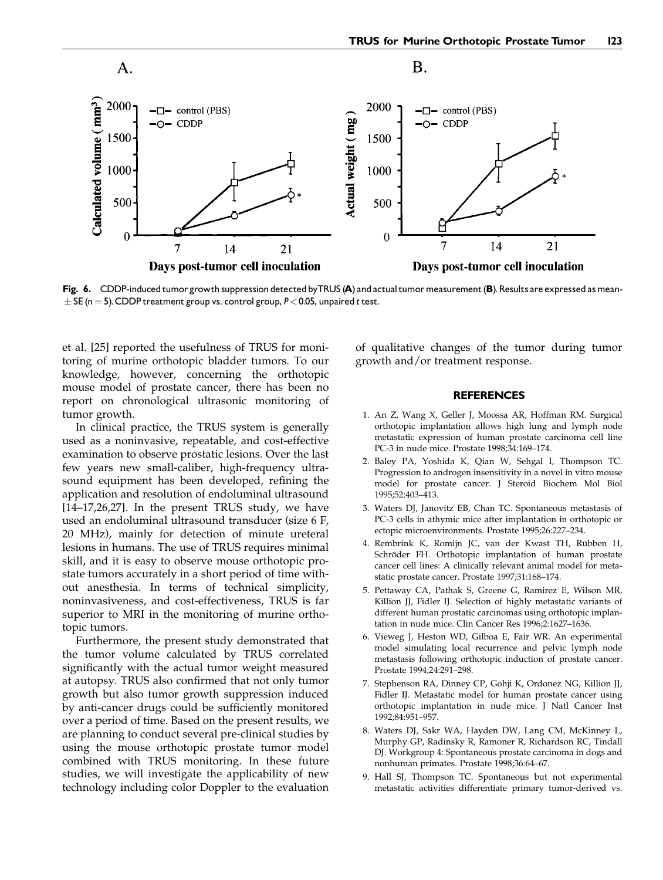

Fig. 6. CDDP-induced tumor growth suppression detected by TRUS (A) and actual tumor measurement (B). Results are expressed as mean- $\pm$  SE (n = 5). CDDP treatment group vs. control group, P < 0.05, unpaired t test.

et al. [25] reported the usefulness of TRUS for monitoring of murine orthotopic bladder tumors. To our knowledge, however, concerning the orthotopic mouse model of prostate cancer, there has been no report on chronological ultrasonic monitoring of tumor growth.

In clinical practice, the TRUS system is generally used as a noninvasive, repeatable, and cost-effective examination to observe prostatic lesions. Over the last few years new small-caliber, high-frequency ultrasound equipment has been developed, refining the application and resolution of endoluminal ultrasound  $[14–17,26,27]$ . In the present TRUS study, we have used an endoluminal ultrasound transducer (size 6 F, 20 MHz), mainly for detection of minute ureteral lesions in humans. The use of TRUS requires minimal skill, and it is easy to observe mouse orthotopic prostate tumors accurately in a short period of time without anesthesia. In terms of technical simplicity, noninvasiveness, and cost-effectiveness, TRUS is far superior to MRI in the monitoring of murine orthotopic tumors.

Furthermore, the present study demonstrated that the tumor volume calculated by TRUS correlated significantly with the actual tumor weight measured at autopsy. TRUS also confirmed that not only tumor growth but also tumor growth suppression induced by anti-cancer drugs could be sufficiently monitored over a period of time. Based on the present results, we are planning to conduct several pre-clinical studies by using the mouse orthotopic prostate tumor model combined with TRUS monitoring. In these future studies, we will investigate the applicability of new technology including color Doppler to the evaluation

of qualitative changes of the tumor during tumor growth and/or treatment response.

#### REFERENCES

- 1. An Z, Wang X, Geller J, Moossa AR, Hoffman RM. Surgical orthotopic implantation allows high lung and lymph node metastatic expression of human prostate carcinoma cell line PC-3 in nude mice. Prostate 1998;34:169-174.
- 2. Baley PA, Yoshida K, Qian W, Sehgal I, Thompson TC. Progression to androgen insensitivity in a novel in vitro mouse model for prostate cancer. J Steroid Biochem Mol Biol 1995;52:403±413.
- 3. Waters DJ, Janovitz EB, Chan TC. Spontaneous metastasis of PC-3 cells in athymic mice after implantation in orthotopic or ectopic microenvironments. Prostate 1995;26:227-234.
- 4. Rembrink K, Romijn JC, van der Kwast TH, Rübben H, Schröder FH. Orthotopic implantation of human prostate cancer cell lines: A clinically relevant animal model for metastatic prostate cancer. Prostate 1997;31:168-174.
- 5. Pettaway CA, Pathak S, Greene G, Ramirez E, Wilson MR, Killion JJ, Fidler IJ. Selection of highly metastatic variants of different human prostatic carcinomas using orthotopic implantation in nude mice. Clin Cancer Res 1996;2:1627-1636.
- 6. Vieweg J, Heston WD, Gilboa E, Fair WR. An experimental model simulating local recurrence and pelvic lymph node metastasis following orthotopic induction of prostate cancer. Prostate 1994;24:291-298.
- 7. Stephenson RA, Dinney CP, Gohji K, Ordonez NG, Killion JJ, Fidler IJ. Metastatic model for human prostate cancer using orthotopic implantation in nude mice. J Natl Cancer Inst 1992;84:951-957.
- 8. Waters DJ, Sakr WA, Hayden DW, Lang CM, McKinney L, Murphy GP, Radinsky R, Ramoner R, Richardson RC, Tindall DJ. Workgroup 4: Spontaneous prostate carcinoma in dogs and nonhuman primates. Prostate 1998;36:64-67.
- 9. Hall SJ, Thompson TC. Spontaneous but not experimental metastatic activities differentiate primary tumor-derived vs.